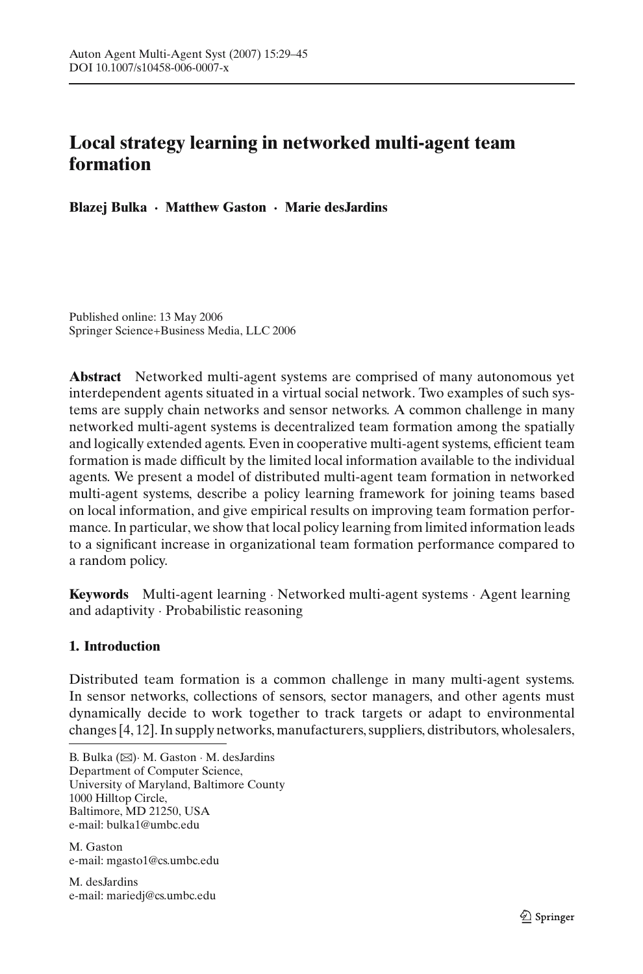# **Local strategy learning in networked multi-agent team formation**

**Blazej Bulka · Matthew Gaston · Marie desJardins**

Published online: 13 May 2006 Springer Science+Business Media, LLC 2006

**Abstract** Networked multi-agent systems are comprised of many autonomous yet interdependent agents situated in a virtual social network. Two examples of such systems are supply chain networks and sensor networks. A common challenge in many networked multi-agent systems is decentralized team formation among the spatially and logically extended agents. Even in cooperative multi-agent systems, efficient team formation is made difficult by the limited local information available to the individual agents. We present a model of distributed multi-agent team formation in networked multi-agent systems, describe a policy learning framework for joining teams based on local information, and give empirical results on improving team formation performance. In particular, we show that local policy learning from limited information leads to a significant increase in organizational team formation performance compared to a random policy.

**Keywords** Multi-agent learning · Networked multi-agent systems · Agent learning and adaptivity · Probabilistic reasoning

# **1. Introduction**

Distributed team formation is a common challenge in many multi-agent systems. In sensor networks, collections of sensors, sector managers, and other agents must dynamically decide to work together to track targets or adapt to environmental changes [4, 12]. In supply networks, manufacturers, suppliers, distributors, wholesalers,

B. Bulka (B)· M. Gaston · M. desJardins Department of Computer Science, University of Maryland, Baltimore County 1000 Hilltop Circle, Baltimore, MD 21250, USA e-mail: bulka1@umbc.edu

M. Gaston e-mail: mgasto1@cs.umbc.edu

M. desJardins e-mail: mariedj@cs.umbc.edu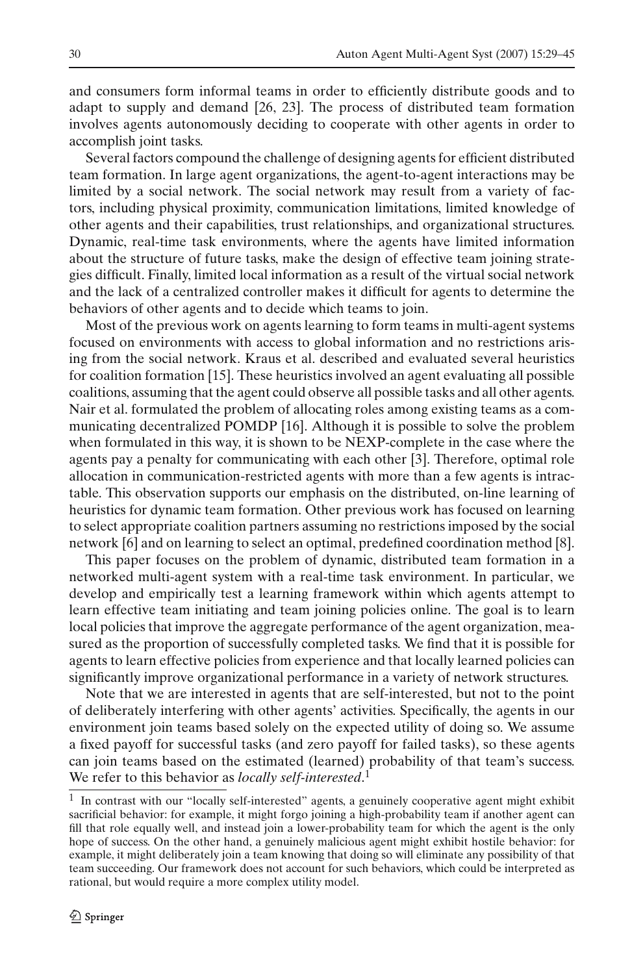and consumers form informal teams in order to efficiently distribute goods and to adapt to supply and demand [26, 23]. The process of distributed team formation involves agents autonomously deciding to cooperate with other agents in order to accomplish joint tasks.

Several factors compound the challenge of designing agents for efficient distributed team formation. In large agent organizations, the agent-to-agent interactions may be limited by a social network. The social network may result from a variety of factors, including physical proximity, communication limitations, limited knowledge of other agents and their capabilities, trust relationships, and organizational structures. Dynamic, real-time task environments, where the agents have limited information about the structure of future tasks, make the design of effective team joining strategies difficult. Finally, limited local information as a result of the virtual social network and the lack of a centralized controller makes it difficult for agents to determine the behaviors of other agents and to decide which teams to join.

Most of the previous work on agents learning to form teams in multi-agent systems focused on environments with access to global information and no restrictions arising from the social network. Kraus et al. described and evaluated several heuristics for coalition formation [15]. These heuristics involved an agent evaluating all possible coalitions, assuming that the agent could observe all possible tasks and all other agents. Nair et al. formulated the problem of allocating roles among existing teams as a communicating decentralized POMDP [16]. Although it is possible to solve the problem when formulated in this way, it is shown to be NEXP-complete in the case where the agents pay a penalty for communicating with each other [3]. Therefore, optimal role allocation in communication-restricted agents with more than a few agents is intractable. This observation supports our emphasis on the distributed, on-line learning of heuristics for dynamic team formation. Other previous work has focused on learning to select appropriate coalition partners assuming no restrictions imposed by the social network [6] and on learning to select an optimal, predefined coordination method [8].

This paper focuses on the problem of dynamic, distributed team formation in a networked multi-agent system with a real-time task environment. In particular, we develop and empirically test a learning framework within which agents attempt to learn effective team initiating and team joining policies online. The goal is to learn local policies that improve the aggregate performance of the agent organization, measured as the proportion of successfully completed tasks. We find that it is possible for agents to learn effective policies from experience and that locally learned policies can significantly improve organizational performance in a variety of network structures.

Note that we are interested in agents that are self-interested, but not to the point of deliberately interfering with other agents' activities. Specifically, the agents in our environment join teams based solely on the expected utility of doing so. We assume a fixed payoff for successful tasks (and zero payoff for failed tasks), so these agents can join teams based on the estimated (learned) probability of that team's success. We refer to this behavior as *locally self-interested*. [1](#page-1-0)

<span id="page-1-0"></span> $<sup>1</sup>$  In contrast with our "locally self-interested" agents, a genuinely cooperative agent might exhibit</sup> sacrificial behavior: for example, it might forgo joining a high-probability team if another agent can fill that role equally well, and instead join a lower-probability team for which the agent is the only hope of success. On the other hand, a genuinely malicious agent might exhibit hostile behavior: for example, it might deliberately join a team knowing that doing so will eliminate any possibility of that team succeeding. Our framework does not account for such behaviors, which could be interpreted as rational, but would require a more complex utility model.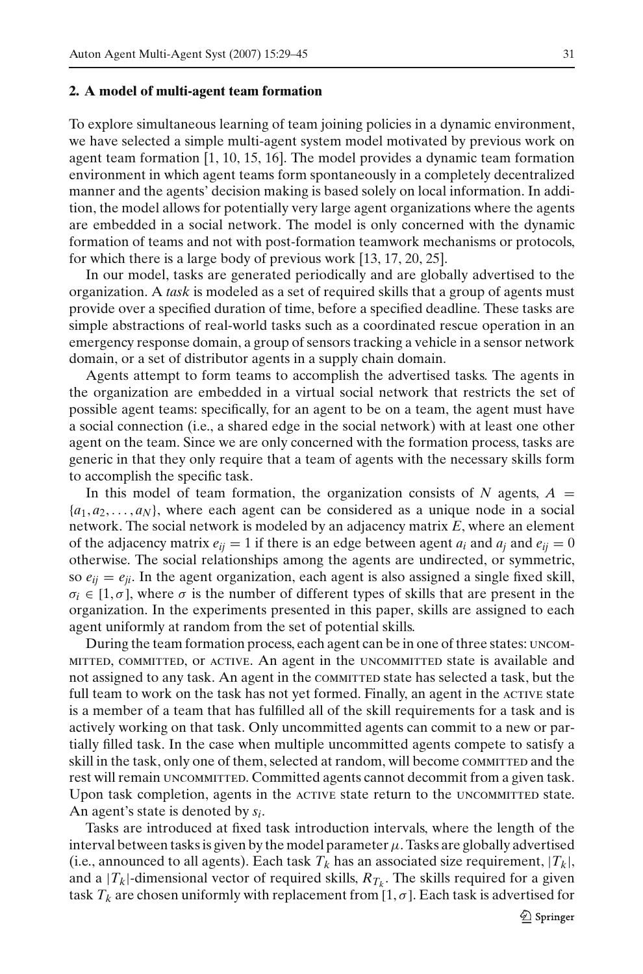#### **2. A model of multi-agent team formation**

To explore simultaneous learning of team joining policies in a dynamic environment, we have selected a simple multi-agent system model motivated by previous work on agent team formation [1, 10, 15, 16]. The model provides a dynamic team formation environment in which agent teams form spontaneously in a completely decentralized manner and the agents' decision making is based solely on local information. In addition, the model allows for potentially very large agent organizations where the agents are embedded in a social network. The model is only concerned with the dynamic formation of teams and not with post-formation teamwork mechanisms or protocols, for which there is a large body of previous work [13, 17, 20, 25].

In our model, tasks are generated periodically and are globally advertised to the organization. A *task* is modeled as a set of required skills that a group of agents must provide over a specified duration of time, before a specified deadline. These tasks are simple abstractions of real-world tasks such as a coordinated rescue operation in an emergency response domain, a group of sensors tracking a vehicle in a sensor network domain, or a set of distributor agents in a supply chain domain.

Agents attempt to form teams to accomplish the advertised tasks. The agents in the organization are embedded in a virtual social network that restricts the set of possible agent teams: specifically, for an agent to be on a team, the agent must have a social connection (i.e., a shared edge in the social network) with at least one other agent on the team. Since we are only concerned with the formation process, tasks are generic in that they only require that a team of agents with the necessary skills form to accomplish the specific task.

In this model of team formation, the organization consists of  $N$  agents,  $A =$  $\{a_1, a_2, \ldots, a_N\}$ , where each agent can be considered as a unique node in a social network. The social network is modeled by an adjacency matrix *E*, where an element of the adjacency matrix  $e_{ii} = 1$  if there is an edge between agent  $a_i$  and  $a_j$  and  $e_{ii} = 0$ otherwise. The social relationships among the agents are undirected, or symmetric, so  $e_{ii} = e_{ii}$ . In the agent organization, each agent is also assigned a single fixed skill,  $\sigma_i \in [1, \sigma]$ , where  $\sigma$  is the number of different types of skills that are present in the organization. In the experiments presented in this paper, skills are assigned to each agent uniformly at random from the set of potential skills.

During the team formation process, each agent can be in one of three states: uncommitted, committed, or active. An agent in the uncommitted state is available and not assigned to any task. An agent in the committed state has selected a task, but the full team to work on the task has not yet formed. Finally, an agent in the ACTIVE state is a member of a team that has fulfilled all of the skill requirements for a task and is actively working on that task. Only uncommitted agents can commit to a new or partially filled task. In the case when multiple uncommitted agents compete to satisfy a skill in the task, only one of them, selected at random, will become committed and the rest will remain uncommitted. Committed agents cannot decommit from a given task. Upon task completion, agents in the ACTIVE state return to the UNCOMMITTED state. An agent's state is denoted by *si*.

Tasks are introduced at fixed task introduction intervals, where the length of the interval between tasks is given by the model parameter  $\mu$ . Tasks are globally advertised (i.e., announced to all agents). Each task  $T_k$  has an associated size requirement,  $|T_k|$ , and a  $|T_k|$ -dimensional vector of required skills,  $R_{T_k}$ . The skills required for a given task  $T_k$  are chosen uniformly with replacement from  $[1, \sigma]$ . Each task is advertised for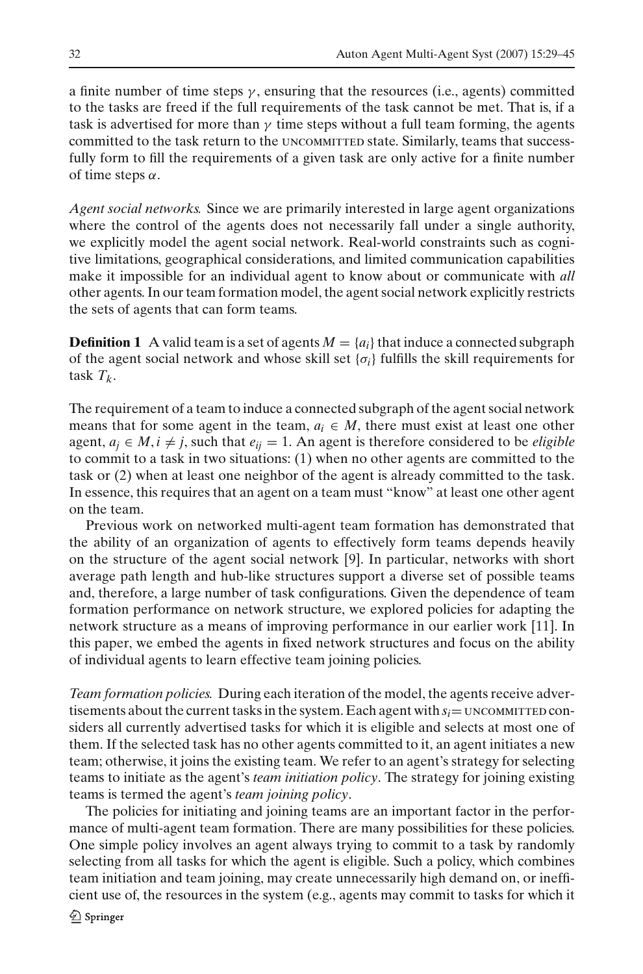a finite number of time steps  $\gamma$ , ensuring that the resources (i.e., agents) committed to the tasks are freed if the full requirements of the task cannot be met. That is, if a task is advertised for more than  $\gamma$  time steps without a full team forming, the agents committed to the task return to the UNCOMMITTED state. Similarly, teams that successfully form to fill the requirements of a given task are only active for a finite number of time steps  $\alpha$ .

*Agent social networks.* Since we are primarily interested in large agent organizations where the control of the agents does not necessarily fall under a single authority, we explicitly model the agent social network. Real-world constraints such as cognitive limitations, geographical considerations, and limited communication capabilities make it impossible for an individual agent to know about or communicate with *all* other agents. In our team formation model, the agent social network explicitly restricts the sets of agents that can form teams.

**Definition 1** A valid team is a set of agents  $M = \{a_i\}$  that induce a connected subgraph of the agent social network and whose skill set  $\{\sigma_i\}$  fulfills the skill requirements for task *Tk*.

The requirement of a team to induce a connected subgraph of the agent social network means that for some agent in the team,  $a_i \in M$ , there must exist at least one other agent,  $a_j \in M$ ,  $i \neq j$ , such that  $e_{ij} = 1$ . An agent is therefore considered to be *eligible* to commit to a task in two situations: (1) when no other agents are committed to the task or (2) when at least one neighbor of the agent is already committed to the task. In essence, this requires that an agent on a team must "know" at least one other agent on the team.

Previous work on networked multi-agent team formation has demonstrated that the ability of an organization of agents to effectively form teams depends heavily on the structure of the agent social network [9]. In particular, networks with short average path length and hub-like structures support a diverse set of possible teams and, therefore, a large number of task configurations. Given the dependence of team formation performance on network structure, we explored policies for adapting the network structure as a means of improving performance in our earlier work [11]. In this paper, we embed the agents in fixed network structures and focus on the ability of individual agents to learn effective team joining policies.

*Team formation policies.* During each iteration of the model, the agents receive advertisements about the current tasks in the system. Each agent with  $s_i$  = uncommitted considers all currently advertised tasks for which it is eligible and selects at most one of them. If the selected task has no other agents committed to it, an agent initiates a new team; otherwise, it joins the existing team. We refer to an agent's strategy for selecting teams to initiate as the agent's *team initiation policy*. The strategy for joining existing teams is termed the agent's *team joining policy*.

The policies for initiating and joining teams are an important factor in the performance of multi-agent team formation. There are many possibilities for these policies. One simple policy involves an agent always trying to commit to a task by randomly selecting from all tasks for which the agent is eligible. Such a policy, which combines team initiation and team joining, may create unnecessarily high demand on, or inefficient use of, the resources in the system (e.g., agents may commit to tasks for which it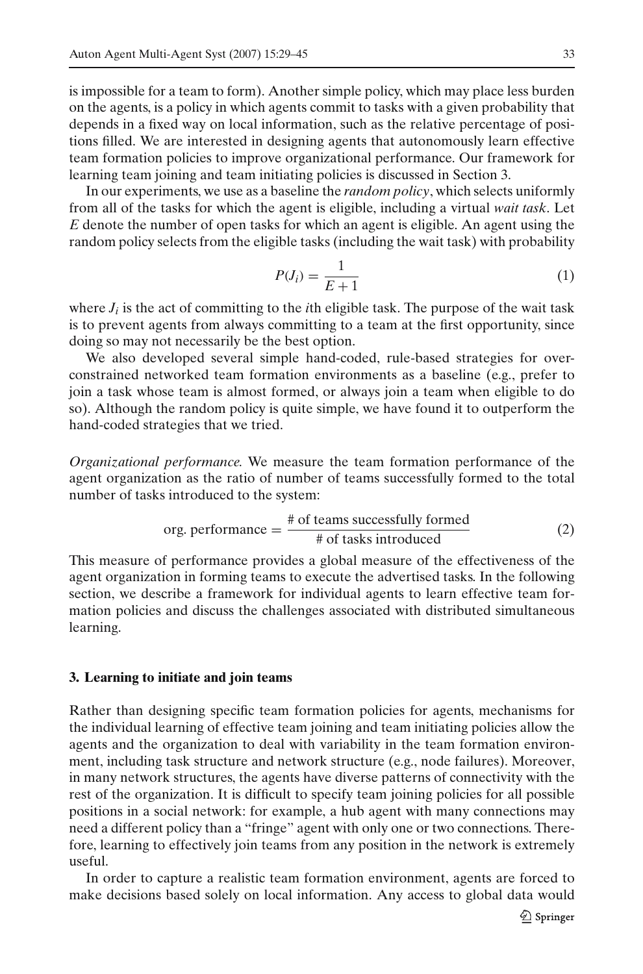is impossible for a team to form). Another simple policy, which may place less burden on the agents, is a policy in which agents commit to tasks with a given probability that depends in a fixed way on local information, such as the relative percentage of positions filled. We are interested in designing agents that autonomously learn effective team formation policies to improve organizational performance. Our framework for learning team joining and team initiating policies is discussed in Section [3.](#page-4-0)

In our experiments, we use as a baseline the *random policy*, which selects uniformly from all of the tasks for which the agent is eligible, including a virtual *wait task*. Let *E* denote the number of open tasks for which an agent is eligible. An agent using the random policy selects from the eligible tasks (including the wait task) with probability

$$
P(J_i) = \frac{1}{E+1} \tag{1}
$$

where  $J_i$  is the act of committing to the *i*th eligible task. The purpose of the wait task is to prevent agents from always committing to a team at the first opportunity, since doing so may not necessarily be the best option.

We also developed several simple hand-coded, rule-based strategies for overconstrained networked team formation environments as a baseline (e.g., prefer to join a task whose team is almost formed, or always join a team when eligible to do so). Although the random policy is quite simple, we have found it to outperform the hand-coded strategies that we tried.

*Organizational performance.* We measure the team formation performance of the agent organization as the ratio of number of teams successfully formed to the total number of tasks introduced to the system:

$$
org. performance = \frac{\text{\# of teams successfully formed}}{\text{\# of tasks introduced}} \tag{2}
$$

This measure of performance provides a global measure of the effectiveness of the agent organization in forming teams to execute the advertised tasks. In the following section, we describe a framework for individual agents to learn effective team formation policies and discuss the challenges associated with distributed simultaneous learning.

#### <span id="page-4-0"></span>**3. Learning to initiate and join teams**

Rather than designing specific team formation policies for agents, mechanisms for the individual learning of effective team joining and team initiating policies allow the agents and the organization to deal with variability in the team formation environment, including task structure and network structure (e.g., node failures). Moreover, in many network structures, the agents have diverse patterns of connectivity with the rest of the organization. It is difficult to specify team joining policies for all possible positions in a social network: for example, a hub agent with many connections may need a different policy than a "fringe" agent with only one or two connections. Therefore, learning to effectively join teams from any position in the network is extremely useful.

In order to capture a realistic team formation environment, agents are forced to make decisions based solely on local information. Any access to global data would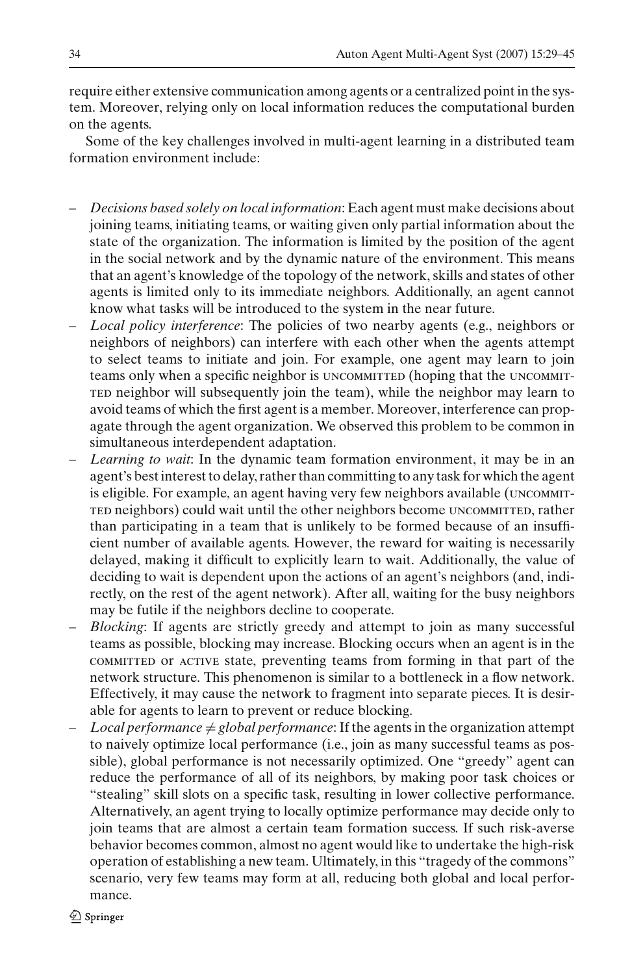require either extensive communication among agents or a centralized point in the system. Moreover, relying only on local information reduces the computational burden on the agents.

Some of the key challenges involved in multi-agent learning in a distributed team formation environment include:

- *Decisions based solely on local information*: Each agent must make decisions about joining teams, initiating teams, or waiting given only partial information about the state of the organization. The information is limited by the position of the agent in the social network and by the dynamic nature of the environment. This means that an agent's knowledge of the topology of the network, skills and states of other agents is limited only to its immediate neighbors. Additionally, an agent cannot know what tasks will be introduced to the system in the near future.
- *Local policy interference*: The policies of two nearby agents (e.g., neighbors or neighbors of neighbors) can interfere with each other when the agents attempt to select teams to initiate and join. For example, one agent may learn to join teams only when a specific neighbor is UNCOMMITTED (hoping that the UNCOMMIT-TED neighbor will subsequently join the team), while the neighbor may learn to avoid teams of which the first agent is a member. Moreover, interference can propagate through the agent organization. We observed this problem to be common in simultaneous interdependent adaptation.
- *Learning to wait*: In the dynamic team formation environment, it may be in an agent's best interest to delay, rather than committing to any task for which the agent is eligible. For example, an agent having very few neighbors available (uncommitted neighbors) could wait until the other neighbors become uncommitted, rather than participating in a team that is unlikely to be formed because of an insufficient number of available agents. However, the reward for waiting is necessarily delayed, making it difficult to explicitly learn to wait. Additionally, the value of deciding to wait is dependent upon the actions of an agent's neighbors (and, indirectly, on the rest of the agent network). After all, waiting for the busy neighbors may be futile if the neighbors decline to cooperate.
- *Blocking*: If agents are strictly greedy and attempt to join as many successful teams as possible, blocking may increase. Blocking occurs when an agent is in the committed or active state, preventing teams from forming in that part of the network structure. This phenomenon is similar to a bottleneck in a flow network. Effectively, it may cause the network to fragment into separate pieces. It is desirable for agents to learn to prevent or reduce blocking.
- $\hskip1cm -$  *Local performance*  $\neq$  global performance: If the agents in the organization attempt to naively optimize local performance (i.e., join as many successful teams as possible), global performance is not necessarily optimized. One "greedy" agent can reduce the performance of all of its neighbors, by making poor task choices or "stealing" skill slots on a specific task, resulting in lower collective performance. Alternatively, an agent trying to locally optimize performance may decide only to join teams that are almost a certain team formation success. If such risk-averse behavior becomes common, almost no agent would like to undertake the high-risk operation of establishing a new team. Ultimately, in this "tragedy of the commons" scenario, very few teams may form at all, reducing both global and local performance.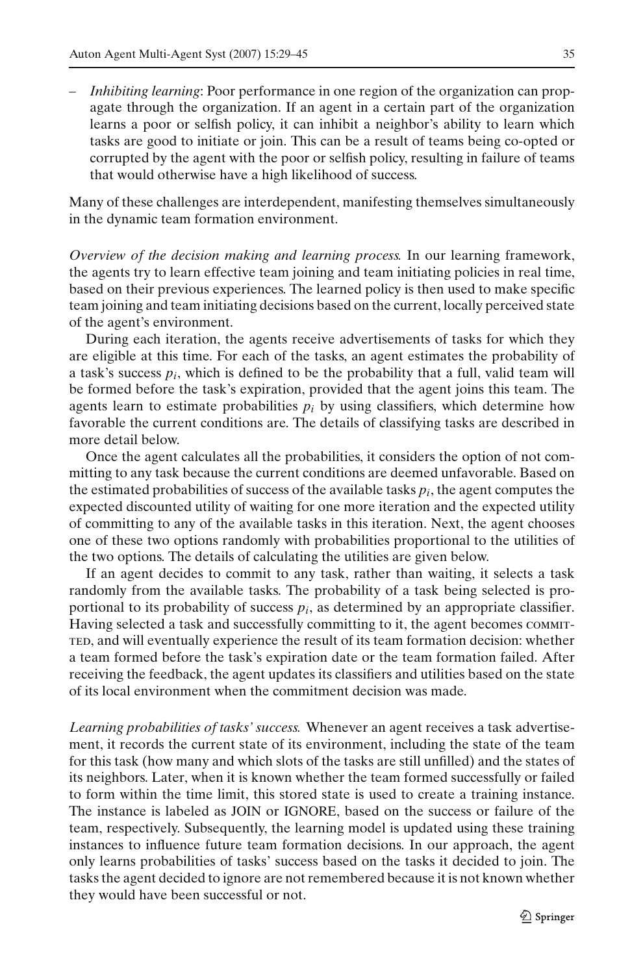– *Inhibiting learning*: Poor performance in one region of the organization can propagate through the organization. If an agent in a certain part of the organization learns a poor or selfish policy, it can inhibit a neighbor's ability to learn which tasks are good to initiate or join. This can be a result of teams being co-opted or corrupted by the agent with the poor or selfish policy, resulting in failure of teams that would otherwise have a high likelihood of success.

Many of these challenges are interdependent, manifesting themselves simultaneously in the dynamic team formation environment.

*Overview of the decision making and learning process.* In our learning framework, the agents try to learn effective team joining and team initiating policies in real time, based on their previous experiences. The learned policy is then used to make specific team joining and team initiating decisions based on the current, locally perceived state of the agent's environment.

During each iteration, the agents receive advertisements of tasks for which they are eligible at this time. For each of the tasks, an agent estimates the probability of a task's success  $p_i$ , which is defined to be the probability that a full, valid team will be formed before the task's expiration, provided that the agent joins this team. The agents learn to estimate probabilities  $p_i$  by using classifiers, which determine how favorable the current conditions are. The details of classifying tasks are described in more detail below.

Once the agent calculates all the probabilities, it considers the option of not committing to any task because the current conditions are deemed unfavorable. Based on the estimated probabilities of success of the available tasks  $p_i$ , the agent computes the expected discounted utility of waiting for one more iteration and the expected utility of committing to any of the available tasks in this iteration. Next, the agent chooses one of these two options randomly with probabilities proportional to the utilities of the two options. The details of calculating the utilities are given below.

If an agent decides to commit to any task, rather than waiting, it selects a task randomly from the available tasks. The probability of a task being selected is proportional to its probability of success  $p_i$ , as determined by an appropriate classifier. Having selected a task and successfully committing to it, the agent becomes COMMITted, and will eventually experience the result of its team formation decision: whether a team formed before the task's expiration date or the team formation failed. After receiving the feedback, the agent updates its classifiers and utilities based on the state of its local environment when the commitment decision was made.

*Learning probabilities of tasks' success.* Whenever an agent receives a task advertisement, it records the current state of its environment, including the state of the team for this task (how many and which slots of the tasks are still unfilled) and the states of its neighbors. Later, when it is known whether the team formed successfully or failed to form within the time limit, this stored state is used to create a training instance. The instance is labeled as JOIN or IGNORE, based on the success or failure of the team, respectively. Subsequently, the learning model is updated using these training instances to influence future team formation decisions. In our approach, the agent only learns probabilities of tasks' success based on the tasks it decided to join. The tasks the agent decided to ignore are not remembered because it is not known whether they would have been successful or not.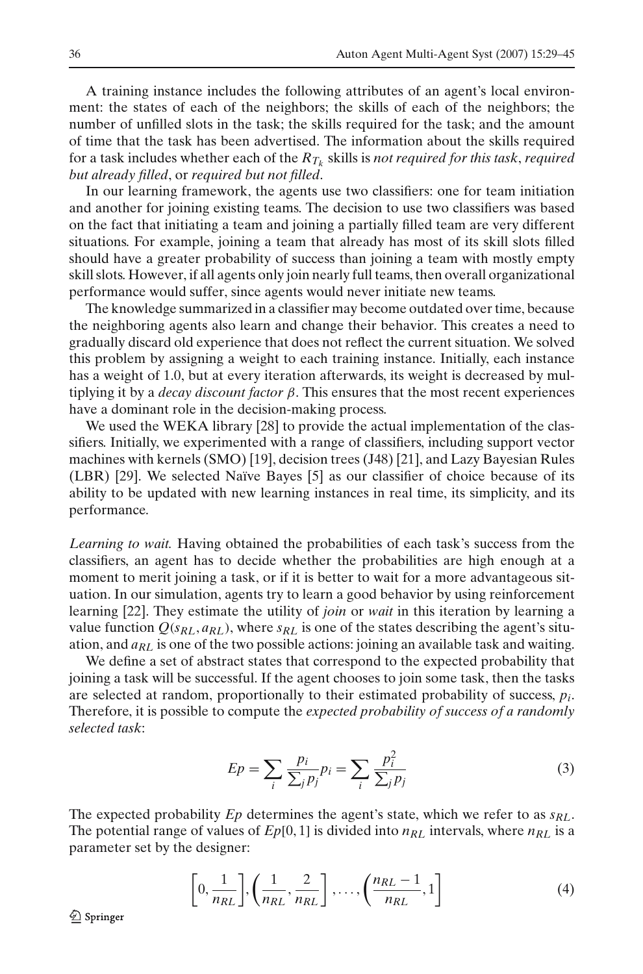A training instance includes the following attributes of an agent's local environment: the states of each of the neighbors; the skills of each of the neighbors; the number of unfilled slots in the task; the skills required for the task; and the amount of time that the task has been advertised. The information about the skills required for a task includes whether each of the  $R_{T_k}$  skills is *not required for this task, required but already filled*, or *required but not filled*.

In our learning framework, the agents use two classifiers: one for team initiation and another for joining existing teams. The decision to use two classifiers was based on the fact that initiating a team and joining a partially filled team are very different situations. For example, joining a team that already has most of its skill slots filled should have a greater probability of success than joining a team with mostly empty skill slots. However, if all agents only join nearly full teams, then overall organizational performance would suffer, since agents would never initiate new teams.

The knowledge summarized in a classifier may become outdated over time, because the neighboring agents also learn and change their behavior. This creates a need to gradually discard old experience that does not reflect the current situation. We solved this problem by assigning a weight to each training instance. Initially, each instance has a weight of 1.0, but at every iteration afterwards, its weight is decreased by multiplying it by a *decay discount factor* β. This ensures that the most recent experiences have a dominant role in the decision-making process.

We used the WEKA library [28] to provide the actual implementation of the classifiers. Initially, we experimented with a range of classifiers, including support vector machines with kernels (SMO) [19], decision trees (J48) [21], and Lazy Bayesian Rules (LBR) [29]. We selected Naïve Bayes [5] as our classifier of choice because of its ability to be updated with new learning instances in real time, its simplicity, and its performance.

*Learning to wait.* Having obtained the probabilities of each task's success from the classifiers, an agent has to decide whether the probabilities are high enough at a moment to merit joining a task, or if it is better to wait for a more advantageous situation. In our simulation, agents try to learn a good behavior by using reinforcement learning [22]. They estimate the utility of *join* or *wait* in this iteration by learning a value function  $Q(s_{RL}, a_{RL})$ , where  $s_{RL}$  is one of the states describing the agent's situation, and  $a_{RL}$  is one of the two possible actions: joining an available task and waiting.

We define a set of abstract states that correspond to the expected probability that joining a task will be successful. If the agent chooses to join some task, then the tasks are selected at random, proportionally to their estimated probability of success,  $p_i$ . Therefore, it is possible to compute the *expected probability of success of a randomly selected task*:

$$
Ep = \sum_{i} \frac{p_i}{\sum_j p_j} p_i = \sum_i \frac{p_i^2}{\sum_j p_j}
$$
 (3)

The expected probability *Ep* determines the agent's state, which we refer to as *sRL*. The potential range of values of  $Ep[0, 1]$  is divided into  $n_{RL}$  intervals, where  $n_{RL}$  is a parameter set by the designer:

$$
\left[0, \frac{1}{n_{RL}}\right], \left(\frac{1}{n_{RL}}, \frac{2}{n_{RL}}\right], \dots, \left(\frac{n_{RL}-1}{n_{RL}}, 1\right] \tag{4}
$$

 $\mathcal{Q}$  Springer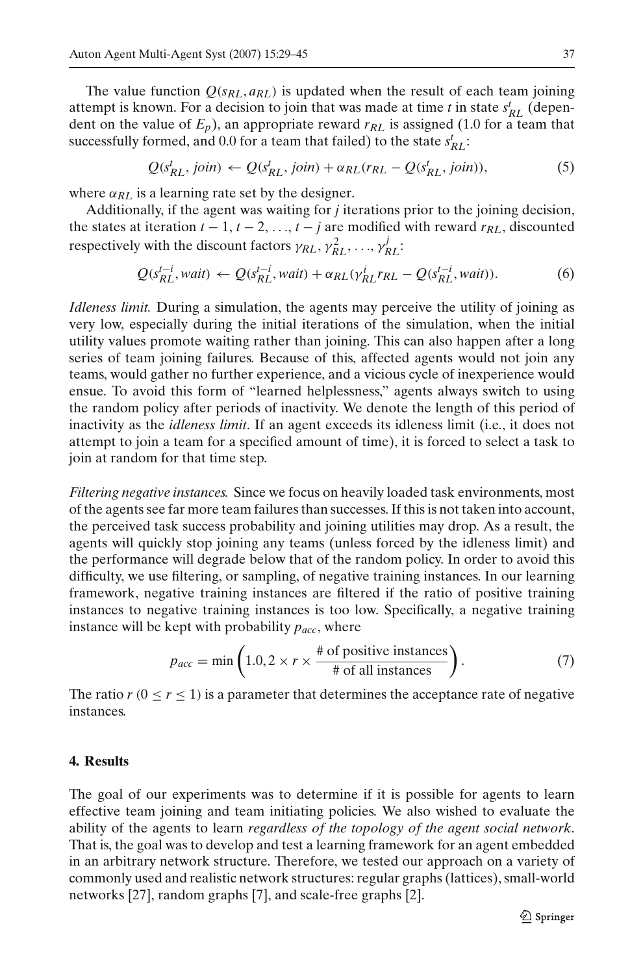The value function  $Q(s_{RL}, a_{RL})$  is updated when the result of each team joining attempt is known. For a decision to join that was made at time *t* in state  $s_{RL}^t$  (dependent on the value of  $E_p$ ), an appropriate reward  $r_{RL}$  is assigned (1.0 for a team that successfully formed, and  $0.0$  for a team that failed) to the state  $s^t_{RL}$ :

$$
Q(s_{RL}^t, join) \leftarrow Q(s_{RL}^t, join) + \alpha_{RL}(r_{RL} - Q(s_{RL}^t, join)),
$$
\n(5)

where  $\alpha_{RL}$  is a learning rate set by the designer.

Additionally, if the agent was waiting for *j* iterations prior to the joining decision, the states at iteration  $t - 1$ ,  $t - 2$ , ...,  $t - j$  are modified with reward  $r_{RL}$ , discounted respectively with the discount factors  $\gamma_{RL}, \gamma_{RL}^2, ..., \gamma_{RL}^j$ .

$$
Q(s_{RL}^{t-i}, wait) \leftarrow Q(s_{RL}^{t-i}, wait) + \alpha_{RL}(\gamma_{RL}^i r_{RL} - Q(s_{RL}^{t-i}, wait)).
$$
 (6)

*Idleness limit.* During a simulation, the agents may perceive the utility of joining as very low, especially during the initial iterations of the simulation, when the initial utility values promote waiting rather than joining. This can also happen after a long series of team joining failures. Because of this, affected agents would not join any teams, would gather no further experience, and a vicious cycle of inexperience would ensue. To avoid this form of "learned helplessness," agents always switch to using the random policy after periods of inactivity. We denote the length of this period of inactivity as the *idleness limit*. If an agent exceeds its idleness limit (i.e., it does not attempt to join a team for a specified amount of time), it is forced to select a task to join at random for that time step.

*Filtering negative instances.* Since we focus on heavily loaded task environments, most of the agents see far more team failures than successes. If this is not taken into account, the perceived task success probability and joining utilities may drop. As a result, the agents will quickly stop joining any teams (unless forced by the idleness limit) and the performance will degrade below that of the random policy. In order to avoid this difficulty, we use filtering, or sampling, of negative training instances. In our learning framework, negative training instances are filtered if the ratio of positive training instances to negative training instances is too low. Specifically, a negative training instance will be kept with probability *pacc*, where

$$
p_{acc} = \min\left(1.0, 2 \times r \times \frac{\text{\# of positive instances}}{\text{\# of all instances}}\right). \tag{7}
$$

<span id="page-8-0"></span>The ratio  $r (0 \le r \le 1)$  is a parameter that determines the acceptance rate of negative instances.

## **4. Results**

The goal of our experiments was to determine if it is possible for agents to learn effective team joining and team initiating policies. We also wished to evaluate the ability of the agents to learn *regardless of the topology of the agent social network*. That is, the goal was to develop and test a learning framework for an agent embedded in an arbitrary network structure. Therefore, we tested our approach on a variety of commonly used and realistic network structures: regular graphs (lattices), small-world networks [27], random graphs [7], and scale-free graphs [2].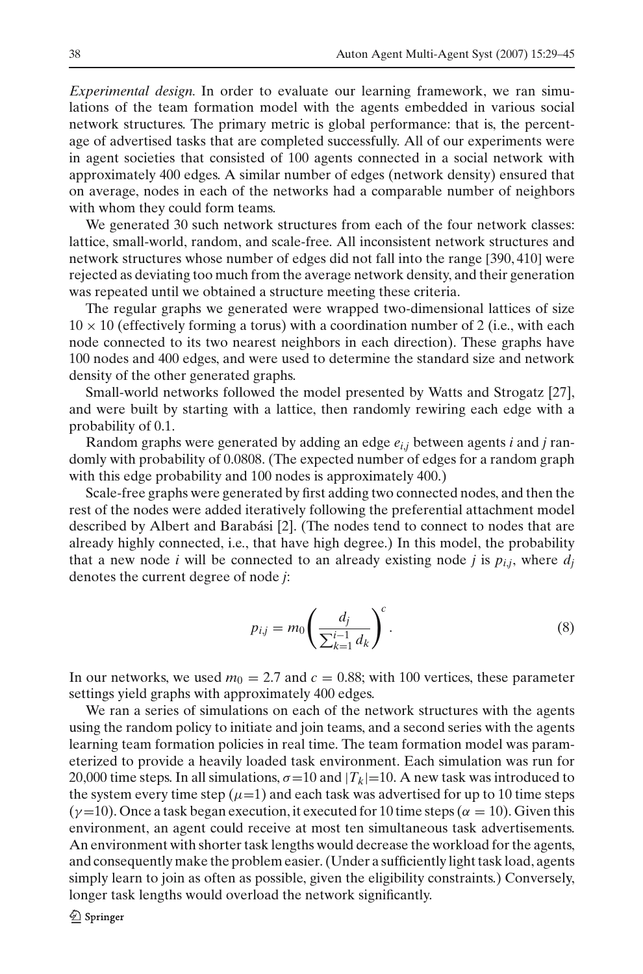*Experimental design.* In order to evaluate our learning framework, we ran simulations of the team formation model with the agents embedded in various social network structures. The primary metric is global performance: that is, the percentage of advertised tasks that are completed successfully. All of our experiments were in agent societies that consisted of 100 agents connected in a social network with approximately 400 edges. A similar number of edges (network density) ensured that on average, nodes in each of the networks had a comparable number of neighbors with whom they could form teams.

We generated 30 such network structures from each of the four network classes: lattice, small-world, random, and scale-free. All inconsistent network structures and network structures whose number of edges did not fall into the range [390, 410] were rejected as deviating too much from the average network density, and their generation was repeated until we obtained a structure meeting these criteria.

The regular graphs we generated were wrapped two-dimensional lattices of size  $10 \times 10$  (effectively forming a torus) with a coordination number of 2 (i.e., with each node connected to its two nearest neighbors in each direction). These graphs have 100 nodes and 400 edges, and were used to determine the standard size and network density of the other generated graphs.

Small-world networks followed the model presented by Watts and Strogatz [27], and were built by starting with a lattice, then randomly rewiring each edge with a probability of 0.1.

Random graphs were generated by adding an edge *ei*,*<sup>j</sup>* between agents *i* and *j* randomly with probability of 0.0808. (The expected number of edges for a random graph with this edge probability and 100 nodes is approximately 400.)

Scale-free graphs were generated by first adding two connected nodes, and then the rest of the nodes were added iteratively following the preferential attachment model described by Albert and Barabási [2]. (The nodes tend to connect to nodes that are already highly connected, i.e., that have high degree.) In this model, the probability that a new node *i* will be connected to an already existing node *j* is  $p_{i,j}$ , where  $d_i$ denotes the current degree of node *j*:

$$
p_{i,j} = m_0 \left( \frac{d_j}{\sum_{k=1}^{i-1} d_k} \right)^c.
$$
 (8)

In our networks, we used  $m_0 = 2.7$  and  $c = 0.88$ ; with 100 vertices, these parameter settings yield graphs with approximately 400 edges.

We ran a series of simulations on each of the network structures with the agents using the random policy to initiate and join teams, and a second series with the agents learning team formation policies in real time. The team formation model was parameterized to provide a heavily loaded task environment. Each simulation was run for 20,000 time steps. In all simulations,  $\sigma$ =10 and  $|T_k|=10$ . A new task was introduced to the system every time step ( $\mu$ =1) and each task was advertised for up to 10 time steps  $(\gamma=10)$ . Once a task began execution, it executed for 10 time steps ( $\alpha = 10$ ). Given this environment, an agent could receive at most ten simultaneous task advertisements. An environment with shorter task lengths would decrease the workload for the agents, and consequently make the problem easier. (Under a sufficiently light task load, agents simply learn to join as often as possible, given the eligibility constraints.) Conversely, longer task lengths would overload the network significantly.

2 Springer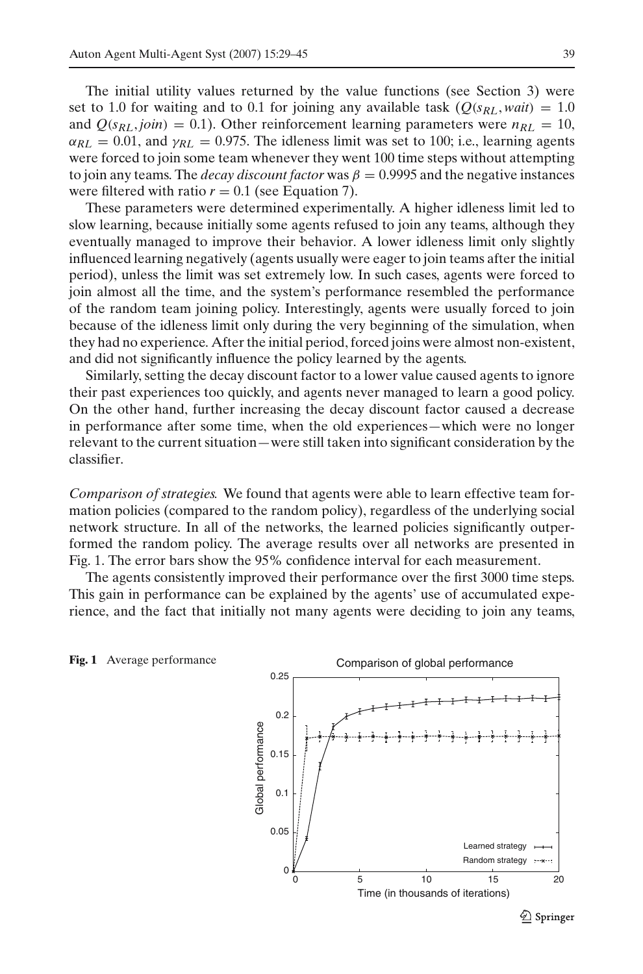The initial utility values returned by the value functions (see Section [3\)](#page-4-0) were set to 1.0 for waiting and to 0.1 for joining any available task  $(Q(s_{RL}, wait) = 1.0$ and  $Q(s_{RL}, join) = 0.1$ . Other reinforcement learning parameters were  $n_{RL} = 10$ ,  $\alpha_{RL} = 0.01$ , and  $\gamma_{RL} = 0.975$ . The idleness limit was set to 100; i.e., learning agents were forced to join some team whenever they went 100 time steps without attempting to join any teams. The *decay discount factor* was  $\beta = 0.9995$  and the negative instances were filtered with ratio  $r = 0.1$  (see Equation [7\)](#page-8-0).

These parameters were determined experimentally. A higher idleness limit led to slow learning, because initially some agents refused to join any teams, although they eventually managed to improve their behavior. A lower idleness limit only slightly influenced learning negatively (agents usually were eager to join teams after the initial period), unless the limit was set extremely low. In such cases, agents were forced to join almost all the time, and the system's performance resembled the performance of the random team joining policy. Interestingly, agents were usually forced to join because of the idleness limit only during the very beginning of the simulation, when they had no experience. After the initial period, forced joins were almost non-existent, and did not significantly influence the policy learned by the agents.

Similarly, setting the decay discount factor to a lower value caused agents to ignore their past experiences too quickly, and agents never managed to learn a good policy. On the other hand, further increasing the decay discount factor caused a decrease in performance after some time, when the old experiences—which were no longer relevant to the current situation—were still taken into significant consideration by the classifier.

*Comparison of strategies.* We found that agents were able to learn effective team formation policies (compared to the random policy), regardless of the underlying social network structure. In all of the networks, the learned policies significantly outperformed the random policy. The average results over all networks are presented in Fig. [1.](#page-10-0) The error bars show the 95% confidence interval for each measurement.

The agents consistently improved their performance over the first 3000 time steps. This gain in performance can be explained by the agents' use of accumulated experience, and the fact that initially not many agents were deciding to join any teams,



<span id="page-10-0"></span>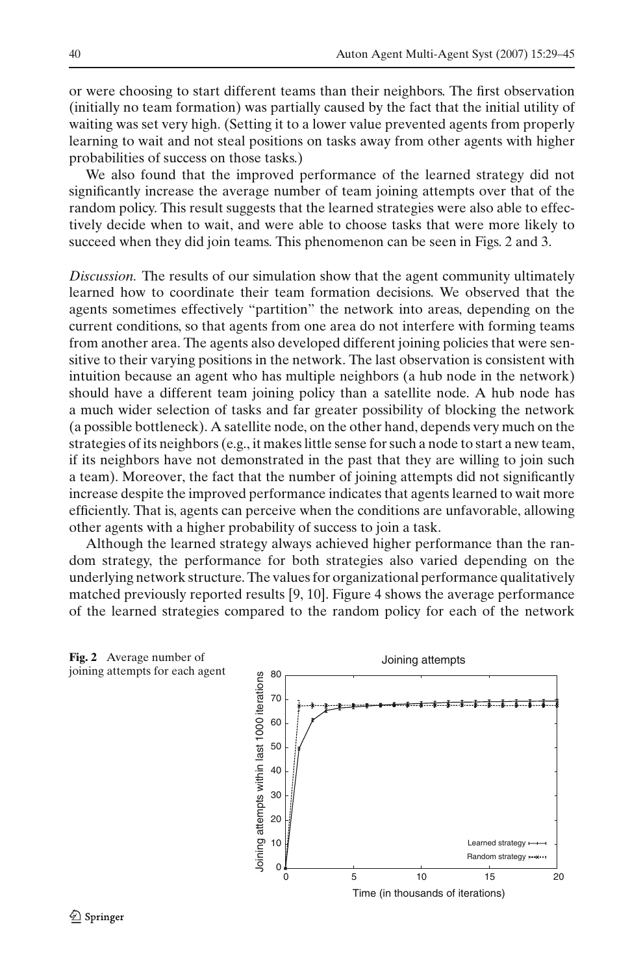or were choosing to start different teams than their neighbors. The first observation (initially no team formation) was partially caused by the fact that the initial utility of waiting was set very high. (Setting it to a lower value prevented agents from properly learning to wait and not steal positions on tasks away from other agents with higher probabilities of success on those tasks.)

We also found that the improved performance of the learned strategy did not significantly increase the average number of team joining attempts over that of the random policy. This result suggests that the learned strategies were also able to effectively decide when to wait, and were able to choose tasks that were more likely to succeed when they did join teams. This phenomenon can be seen in Figs. [2](#page-11-0) and 3.

*Discussion.* The results of our simulation show that the agent community ultimately learned how to coordinate their team formation decisions. We observed that the agents sometimes effectively "partition" the network into areas, depending on the current conditions, so that agents from one area do not interfere with forming teams from another area. The agents also developed different joining policies that were sensitive to their varying positions in the network. The last observation is consistent with intuition because an agent who has multiple neighbors (a hub node in the network) should have a different team joining policy than a satellite node. A hub node has a much wider selection of tasks and far greater possibility of blocking the network (a possible bottleneck). A satellite node, on the other hand, depends very much on the strategies of its neighbors (e.g., it makes little sense for such a node to start a new team, if its neighbors have not demonstrated in the past that they are willing to join such a team). Moreover, the fact that the number of joining attempts did not significantly increase despite the improved performance indicates that agents learned to wait more efficiently. That is, agents can perceive when the conditions are unfavorable, allowing other agents with a higher probability of success to join a task.

Although the learned strategy always achieved higher performance than the random strategy, the performance for both strategies also varied depending on the underlying network structure. The values for organizational performance qualitatively matched previously reported results [9, 10]. Figure 4 shows the average performance of the learned strategies compared to the random policy for each of the network

<span id="page-11-0"></span>

Time (in thousands of iterations)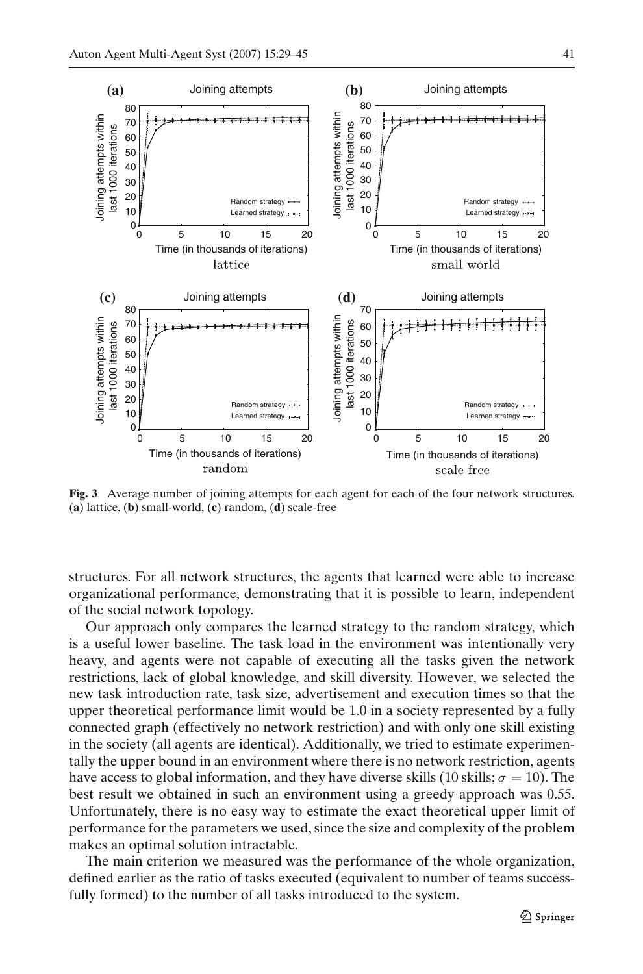

**Fig. 3** Average number of joining attempts for each agent for each of the four network structures. (**a**) lattice, (**b**) small-world, (**c**) random, (**d**) scale-free

structures. For all network structures, the agents that learned were able to increase organizational performance, demonstrating that it is possible to learn, independent of the social network topology.

Our approach only compares the learned strategy to the random strategy, which is a useful lower baseline. The task load in the environment was intentionally very heavy, and agents were not capable of executing all the tasks given the network restrictions, lack of global knowledge, and skill diversity. However, we selected the new task introduction rate, task size, advertisement and execution times so that the upper theoretical performance limit would be 1.0 in a society represented by a fully connected graph (effectively no network restriction) and with only one skill existing in the society (all agents are identical). Additionally, we tried to estimate experimentally the upper bound in an environment where there is no network restriction, agents have access to global information, and they have diverse skills (10 skills;  $\sigma = 10$ ). The best result we obtained in such an environment using a greedy approach was 0.55. Unfortunately, there is no easy way to estimate the exact theoretical upper limit of performance for the parameters we used, since the size and complexity of the problem makes an optimal solution intractable.

The main criterion we measured was the performance of the whole organization, defined earlier as the ratio of tasks executed (equivalent to number of teams successfully formed) to the number of all tasks introduced to the system.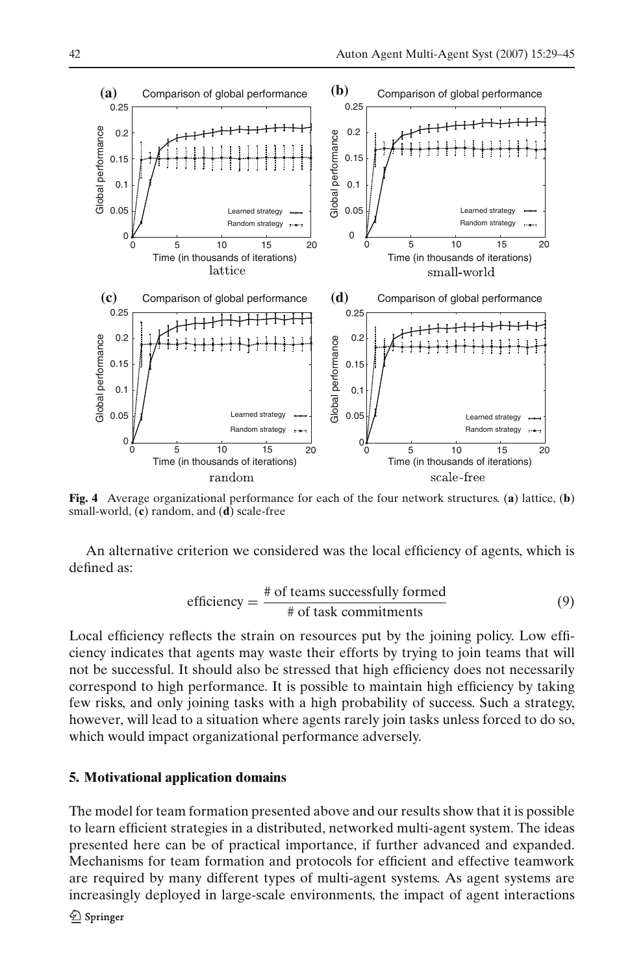

**Fig. 4** Average organizational performance for each of the four network structures. (**a**) lattice, (**b**) small-world, (**c**) random, and (**d**) scale-free

An alternative criterion we considered was the local efficiency of agents, which is defined as:

efficiency = 
$$
\frac{\text{\# of teams successfully formed}}{\text{\# of task commitments}}
$$
 (9)

Local efficiency reflects the strain on resources put by the joining policy. Low efficiency indicates that agents may waste their efforts by trying to join teams that will not be successful. It should also be stressed that high efficiency does not necessarily correspond to high performance. It is possible to maintain high efficiency by taking few risks, and only joining tasks with a high probability of success. Such a strategy, however, will lead to a situation where agents rarely join tasks unless forced to do so, which would impact organizational performance adversely.

### **5. Motivational application domains**

The model for team formation presented above and our results show that it is possible to learn efficient strategies in a distributed, networked multi-agent system. The ideas presented here can be of practical importance, if further advanced and expanded. Mechanisms for team formation and protocols for efficient and effective teamwork are required by many different types of multi-agent systems. As agent systems are increasingly deployed in large-scale environments, the impact of agent interactions

 $\hat{\mathcal{D}}$  Springer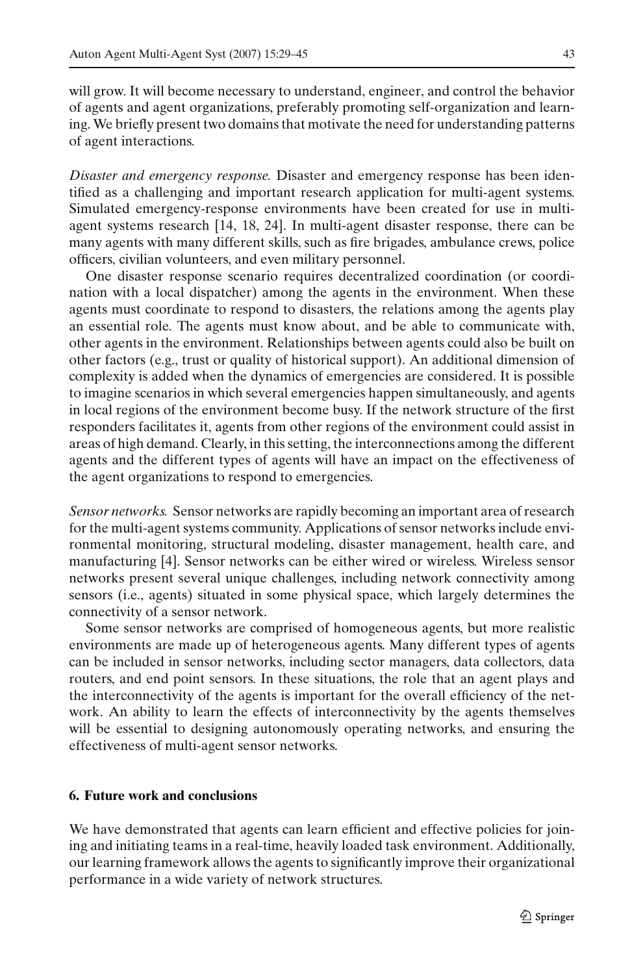will grow. It will become necessary to understand, engineer, and control the behavior of agents and agent organizations, preferably promoting self-organization and learning. We briefly present two domains that motivate the need for understanding patterns of agent interactions.

*Disaster and emergency response.* Disaster and emergency response has been identified as a challenging and important research application for multi-agent systems. Simulated emergency-response environments have been created for use in multiagent systems research [14, 18, 24]. In multi-agent disaster response, there can be many agents with many different skills, such as fire brigades, ambulance crews, police officers, civilian volunteers, and even military personnel.

One disaster response scenario requires decentralized coordination (or coordination with a local dispatcher) among the agents in the environment. When these agents must coordinate to respond to disasters, the relations among the agents play an essential role. The agents must know about, and be able to communicate with, other agents in the environment. Relationships between agents could also be built on other factors (e.g., trust or quality of historical support). An additional dimension of complexity is added when the dynamics of emergencies are considered. It is possible to imagine scenarios in which several emergencies happen simultaneously, and agents in local regions of the environment become busy. If the network structure of the first responders facilitates it, agents from other regions of the environment could assist in areas of high demand. Clearly, in this setting, the interconnections among the different agents and the different types of agents will have an impact on the effectiveness of the agent organizations to respond to emergencies.

*Sensor networks.* Sensor networks are rapidly becoming an important area of research for the multi-agent systems community. Applications of sensor networks include environmental monitoring, structural modeling, disaster management, health care, and manufacturing [4]. Sensor networks can be either wired or wireless. Wireless sensor networks present several unique challenges, including network connectivity among sensors (i.e., agents) situated in some physical space, which largely determines the connectivity of a sensor network.

Some sensor networks are comprised of homogeneous agents, but more realistic environments are made up of heterogeneous agents. Many different types of agents can be included in sensor networks, including sector managers, data collectors, data routers, and end point sensors. In these situations, the role that an agent plays and the interconnectivity of the agents is important for the overall efficiency of the network. An ability to learn the effects of interconnectivity by the agents themselves will be essential to designing autonomously operating networks, and ensuring the effectiveness of multi-agent sensor networks.

## **6. Future work and conclusions**

We have demonstrated that agents can learn efficient and effective policies for joining and initiating teams in a real-time, heavily loaded task environment. Additionally, our learning framework allows the agents to significantly improve their organizational performance in a wide variety of network structures.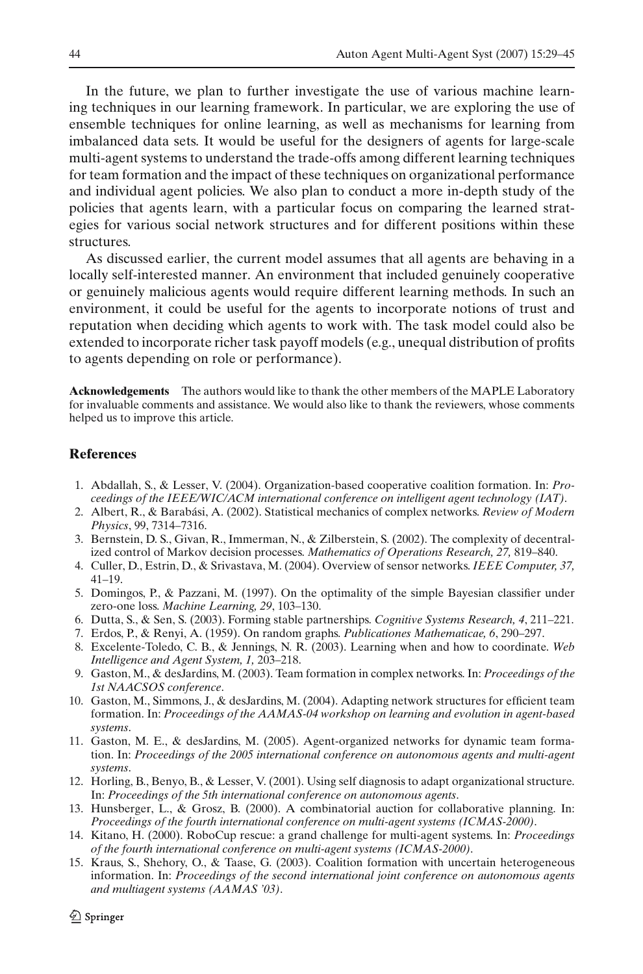In the future, we plan to further investigate the use of various machine learning techniques in our learning framework. In particular, we are exploring the use of ensemble techniques for online learning, as well as mechanisms for learning from imbalanced data sets. It would be useful for the designers of agents for large-scale multi-agent systems to understand the trade-offs among different learning techniques for team formation and the impact of these techniques on organizational performance and individual agent policies. We also plan to conduct a more in-depth study of the policies that agents learn, with a particular focus on comparing the learned strategies for various social network structures and for different positions within these structures.

As discussed earlier, the current model assumes that all agents are behaving in a locally self-interested manner. An environment that included genuinely cooperative or genuinely malicious agents would require different learning methods. In such an environment, it could be useful for the agents to incorporate notions of trust and reputation when deciding which agents to work with. The task model could also be extended to incorporate richer task payoff models (e.g., unequal distribution of profits to agents depending on role or performance).

**Acknowledgements** The authors would like to thank the other members of the MAPLE Laboratory for invaluable comments and assistance. We would also like to thank the reviewers, whose comments helped us to improve this article.

### **References**

- 1. Abdallah, S., & Lesser, V. (2004). Organization-based cooperative coalition formation. In: *Proceedings of the IEEE/WIC/ACM international conference on intelligent agent technology (IAT)*.
- 2. Albert, R., & Barabási, A. (2002). Statistical mechanics of complex networks. *Review of Modern Physics*, 99, 7314–7316.
- 3. Bernstein, D. S., Givan, R., Immerman, N., & Zilberstein, S. (2002). The complexity of decentralized control of Markov decision processes. *Mathematics of Operations Research, 27,* 819–840.
- 4. Culler, D., Estrin, D., & Srivastava, M. (2004). Overview of sensor networks. *IEEE Computer, 37,* 41–19.
- 5. Domingos, P., & Pazzani, M. (1997). On the optimality of the simple Bayesian classifier under zero-one loss. *Machine Learning, 29*, 103–130.
- 6. Dutta, S., & Sen, S. (2003). Forming stable partnerships. *Cognitive Systems Research, 4*, 211–221.
- 7. Erdos, P., & Renyi, A. (1959). On random graphs. *Publicationes Mathematicae, 6*, 290–297.
- 8. Excelente-Toledo, C. B., & Jennings, N. R. (2003). Learning when and how to coordinate. *Web Intelligence and Agent System, 1,* 203–218.
- 9. Gaston, M., & desJardins, M. (2003). Team formation in complex networks. In: *Proceedings of the 1st NAACSOS conference*.
- 10. Gaston, M., Simmons, J., & desJardins, M. (2004). Adapting network structures for efficient team formation. In: *Proceedings of the AAMAS-04 workshop on learning and evolution in agent-based systems*.
- 11. Gaston, M. E., & desJardins, M. (2005). Agent-organized networks for dynamic team formation. In: *Proceedings of the 2005 international conference on autonomous agents and multi-agent systems*.
- 12. Horling, B., Benyo, B., & Lesser, V. (2001). Using self diagnosis to adapt organizational structure. In: *Proceedings of the 5th international conference on autonomous agents*.
- 13. Hunsberger, L., & Grosz, B. (2000). A combinatorial auction for collaborative planning. In: *Proceedings of the fourth international conference on multi-agent systems (ICMAS-2000)*.
- 14. Kitano, H. (2000). RoboCup rescue: a grand challenge for multi-agent systems. In: *Proceedings of the fourth international conference on multi-agent systems (ICMAS-2000)*.
- 15. Kraus, S., Shehory, O., & Taase, G. (2003). Coalition formation with uncertain heterogeneous information. In: *Proceedings of the second international joint conference on autonomous agents and multiagent systems (AAMAS '03)*.